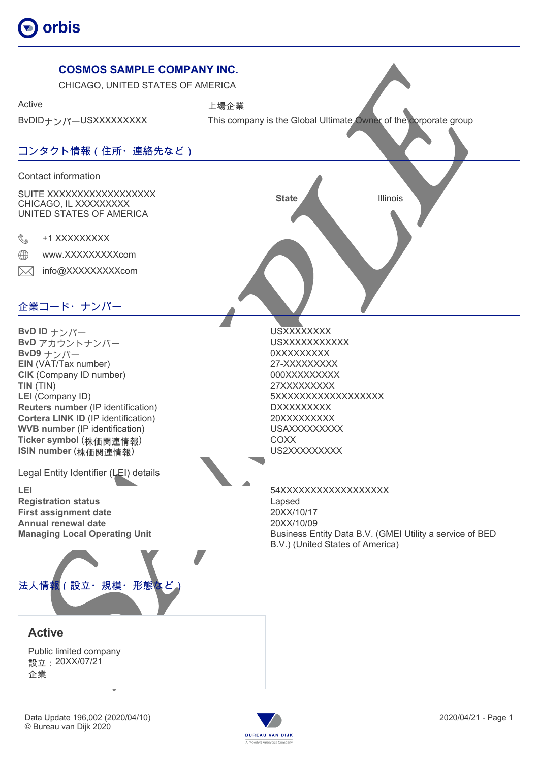



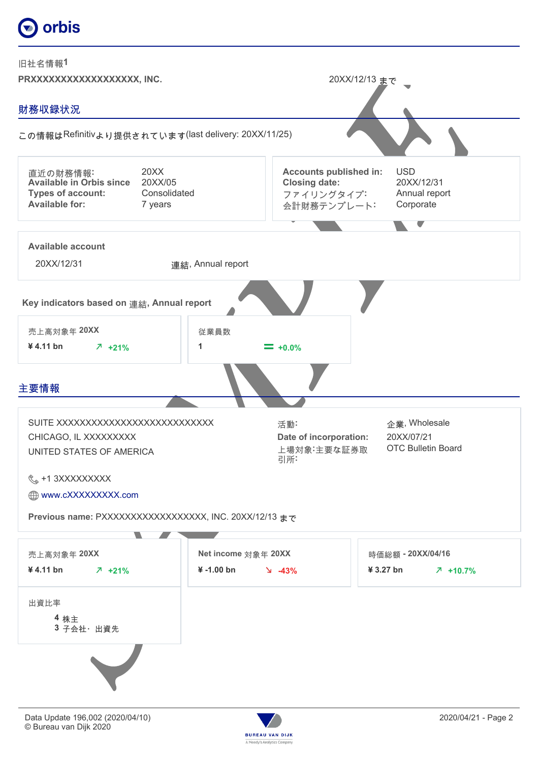

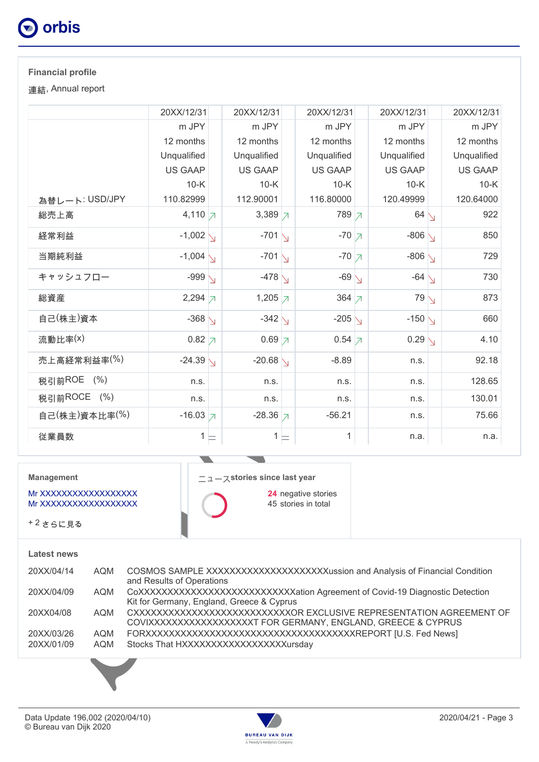

### **Financial profile**

連結, Annual report

|                | 20XX/12/31            | 20XX/12/31          | 20XX/12/31                     | 20XX/12/31         | 20XX/12/31     |
|----------------|-----------------------|---------------------|--------------------------------|--------------------|----------------|
|                | m JPY                 | m JPY               | m JPY                          | m JPY              | m JPY          |
|                | 12 months             | 12 months           | 12 months                      | 12 months          | 12 months      |
|                | Unqualified           | Unqualified         | Unqualified                    | Unqualified        | Unqualified    |
|                | <b>US GAAP</b>        | <b>US GAAP</b>      | <b>US GAAP</b>                 | <b>US GAAP</b>     | <b>US GAAP</b> |
|                | $10-K$                | $10-K$              | $10-K$                         | $10-K$             | $10-K$         |
| 為替レート: USD/JPY | 110.82999             | 112.90001           | 116.80000                      | 120.49999          | 120.64000      |
| 総売上高           | 4,110 $\n  \  \big)$  | 3,389 $\n 7$        | 789 7                          | $64 \sqrt$         | 922            |
| 経常利益           | $-1,002$ $\backslash$ | $-701$ $\sqrt{ }$   | $-70$ $\overline{7}$           | $-806\sqrt{}$      | 850            |
| 当期純利益          | $-1,004$ $\backslash$ | $-7011$             | $-70$ $\overline{7}$           | $-806\sqrt{}$      | 729            |
| キャッシュフロー       | -999 $\backslash$     | $-478$ $\sqrt{ }$   | $-69$ $\sqrt{ }$               | $-64$ $\backslash$ | 730            |
| 総資産            | $2,294 \overline{7}$  | 1,205 $\neg$        | 364 $\neg$                     | $79\sqrt{ }$       | 873            |
| 自己(株主)資本       | $-368$ $\backslash$   | $-342\sqrt{ }$      | -205 $\sqrt{ }$                | $-150\sqrt{}$      | 660            |
| 流動比率(x)        | $0.82$ 7              | $0.69 \times$       | $0.54 \vert \mathcal{I} \vert$ | $0.29\sqrt{}$      | 4.10           |
| 売上高経常利益率(%)    | $-24.39$ $\sqrt{ }$   | $-20.68$ $\sqrt{ }$ | $-8.89$                        | n.s.               | 92.18          |
| 税引前ROE (%)     | n.s.                  | n.s.                | n.s.                           | n.s.               | 128.65         |
| 税引前ROCE (%)    | n.s.                  | n.s.                | n.s.                           | n.s.               | 130.01         |
| 自己(株主)資本比率(%)  | $-16.03$ 7            | $-28.36$ 7          | $-56.21$                       | n.s.               | 75.66          |
| 従業員数           | $1 \models$           | $1 \sqsubset$       | 1                              | n.a.               | n.a.           |

**Management**

Mr XXXXXXXXXXXXXXXX Mr XXXXXXXXXXXXXXXX

+ 2 さらに見る

#### **Latest news**

| 20XX/04/14 | AQM        | COSMOS SAMPLE XXXXXXXXXXXXXXXXXXXXXXXassion and Analysis of Financial Condition<br>and Results of Operations                          |
|------------|------------|---------------------------------------------------------------------------------------------------------------------------------------|
| 20XX/04/09 | <b>AQM</b> | CoXXXXXXXXXXXXXXXXXXXXXXXXXXXation Agreement of Covid-19 Diagnostic Detection<br>Kit for Germany, England, Greece & Cyprus            |
| 20XX04/08  | AQM        | CXXXXXXXXXXXXXXXXXXXXXXXXXXXXOR EXCLUSIVE REPRESENTATION AGREEMENT OF<br>COVIXXXXXXXXXXXXXXXXXT FOR GERMANY, ENGLAND, GREECE & CYPRUS |
| 20XX/03/26 | AQM        |                                                                                                                                       |
| 20XX/01/09 | AQM        | Stocks That HXXXXXXXXXXXXXXXXXXursday                                                                                                 |

ニュース**stories since last year**

 $\overline{\phantom{a}}$ 

**24** negative stories 45 stories in total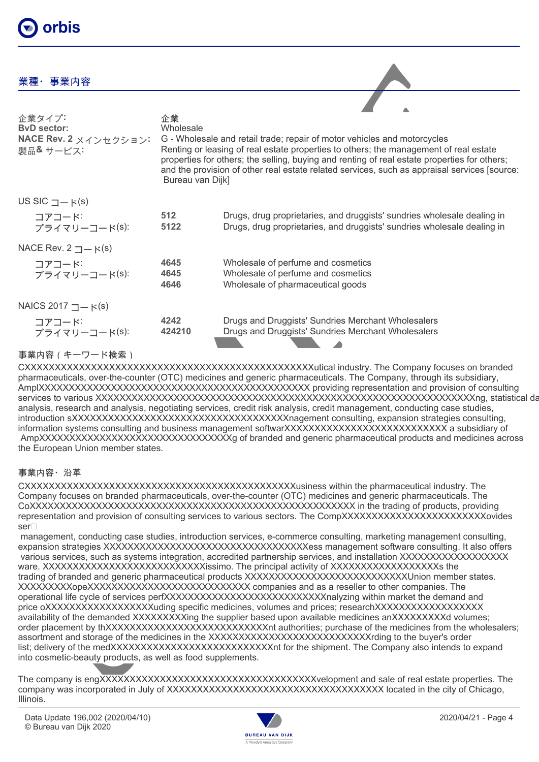### 業種・事業内容

| 企業タイプ<br><b>ByD</b> sector:<br>NACE Rev. 2 メインセクション:<br>製品& サービス: | 企業<br>Wholesale<br>Bureau van Dijk] | G - Wholesale and retail trade; repair of motor vehicles and motorcycles<br>Renting or leasing of real estate properties to others; the management of real estate<br>properties for others; the selling, buying and renting of real estate properties for others;<br>and the provision of other real estate related services, such as appraisal services [source: |
|-------------------------------------------------------------------|-------------------------------------|-------------------------------------------------------------------------------------------------------------------------------------------------------------------------------------------------------------------------------------------------------------------------------------------------------------------------------------------------------------------|
| US SIC $\Box - \kappa(s)$                                         |                                     |                                                                                                                                                                                                                                                                                                                                                                   |
| コアコード<br>プライマリーコード(S):                                            | 512<br>5122                         | Drugs, drug proprietaries, and druggists' sundries wholesale dealing in<br>Drugs, drug proprietaries, and druggists' sundries wholesale dealing in                                                                                                                                                                                                                |
| NACE Rev. $2 \rightharpoonup$ $\ltimes$ (s)                       |                                     |                                                                                                                                                                                                                                                                                                                                                                   |
| コアコード<br>プライマリーコード(S):                                            | 4645<br>4645<br>4646                | Wholesale of perfume and cosmetics<br>Wholesale of perfume and cosmetics<br>Wholesale of pharmaceutical goods                                                                                                                                                                                                                                                     |
| NAICS 2017 $\Box$ $\vdash$ K(s)                                   |                                     |                                                                                                                                                                                                                                                                                                                                                                   |
| コアコード<br>プライマリーコード(S):                                            | 4242<br>424210                      | Drugs and Druggists' Sundries Merchant Wholesalers<br>Drugs and Druggists' Sundries Merchant Wholesalers                                                                                                                                                                                                                                                          |
| 事業内容(キーワード検索)                                                     |                                     |                                                                                                                                                                                                                                                                                                                                                                   |

CXXXXXXXXXXXXXXXXXXXXXXXXXXXXXXXXXXXXXXXXXXXXXXXXutical industry. The Company focuses on branded pharmaceuticals, over-the-counter (OTC) medicines and generic pharmaceuticals. The Company, through its subsidiary, AmplXXXXXXXXXXXXXXXXXXXXXXXXXXXXXXXXXXXXXXXXXXXXX providing representation and provision of consulting services to various XXXXXXXXXXXXXXXXXXXXXXXXXXXXXXXXXXXXXXXXXXXXXXXXXXXXXXXXXXXXXXXng, statistical data analysis, research and analysis, negotiating services, credit risk analysis, credit management, conducting case studies, introduction sXXXXXXXXXXXXXXXXXXXXXXXXXXXXXXXXXXXXnagement consulting, expansion strategies consulting, information systems consulting and business management softwarXXXXXXXXXXXXXXXXXXXXXXXXXXX a subsidiary of AmpXXXXXXXXXXXXXXXXXXXXXXXXXXXXXXXXg of branded and generic pharmaceutical products and medicines across the European Union member states.

### 事業内容・沿革

CXXXXXXXXXXXXXXXXXXXXXXXXXXXXXXXXXXXXXXXXXXXXXusiness within the pharmaceutical industry. The Company focuses on branded pharmaceuticals, over-the-counter (OTC) medicines and generic pharmaceuticals. The CoXXXXXXXXXXXXXXXXXXXXXXXXXXXXXXXXXXXXXXXXXXXXXXXXXXXXXX in the trading of products, providing representation and provision of consulting services to various sectors. The CompXXXXXXXXXXXXXXXXXXXXXXXXovides ser

 management, conducting case studies, introduction services, e-commerce consulting, marketing management consulting, expansion strategies XXXXXXXXXXXXXXXXXXXXXXXXXXXXXXXXXXess management software consulting. It also offers various services, such as systems integration, accredited partnership services, and installation XXXXXXXXXXXXXXXXXX ware. XXXXXXXXXXXXXXXXXXXXXXXXXXXXXissimo. The principal activity of XXXXXXXXXXXXXXXXXXX the trading of branded and generic pharmaceutical products XXXXXXXXXXXXXXXXXXXXXXXXXXXUnion member states. XXXXXXXXXopeXXXXXXXXXXXXXXXXXXXXXXXXXXX companies and as a reseller to other companies. The operational life cycle of services perfXXXXXXXXXXXXXXXXXXXXXXXXXXXXXIalyzing within market the demand and price oXXXXXXXXXXXXXXXXXXuding specific medicines, volumes and prices; researchXXXXXXXXXXXXXXXXXX availability of the demanded XXXXXXXXXing the supplier based upon available medicines anXXXXXXXXX volumes; order placement by thXXXXXXXXXXXXXXXXXXXXXXXXXXXXX euthorities; purchase of the medicines from the wholesalers; assortment and storage of the medicines in the XXXXXXXXXXXXXXXXXXXXXXXXXXXrding to the buyer's order list; delivery of the medXXXXXXXXXXXXXXXXXXXXXXXXXXXX on for the shipment. The Company also intends to expand into cosmetic-beauty products, as well as food supplements.

The company is engXXXXXXXXXXXXXXXXXXXXXXXXXXXXXXXXXXXXvelopment and sale of real estate properties. The company was incorporated in July of XXXXXXXXXXXXXXXXXXXXXXXXXXXXXXXXXXXX located in the city of Chicago, Illinois.

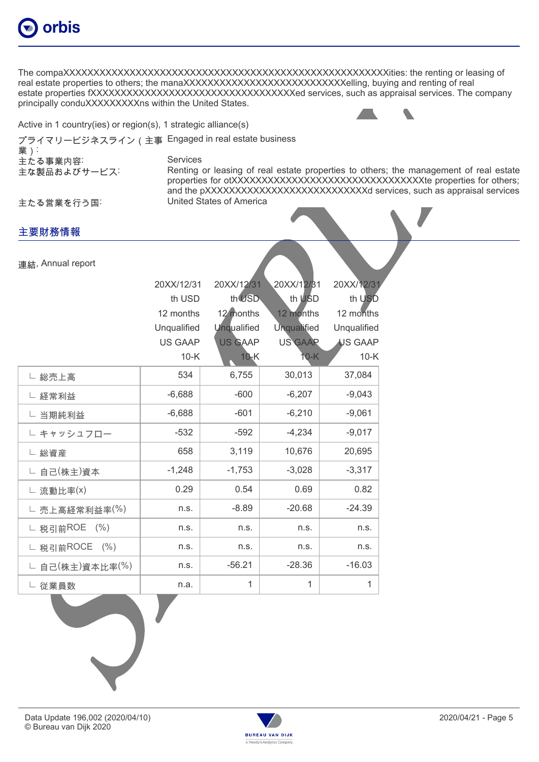

The compaXXXXXXXXXXXXXXXXXXXXXXXXXXXXXXXXXXXXXXXXXXXXXXXXXXXXXXities: the renting or leasing of real estate properties to others; the manaXXXXXXXXXXXXXXXXXXXXXXXXXXXIIing, buying and renting of real estate properties fXXXXXXXXXXXXXXXXXXXXXXXXXXXXXXXXXXed services, such as appraisal services. The company principally conduXXXXXXXXXX within the United States.

Active in 1 country(ies) or region(s), 1 strategic alliance(s)

プライマリービジネスライン(主事 Engaged in real estate business

業): 主たる事業内容: Services

主な製品およびサービス: Renting or leasing of real estate properties to others; the management of real estate properties for otXXXXXXXXXXXXXXXXXXXXXXXXXXXXXXXX e properties for others; and the pXXXXXXXXXXXXXXXXXXXXXXXXXXXX services, such as appraisal services 主たる営業を行う国: United States of America

主要財務情報

連結, Annual report

|                   | 20XX/12/31     | 20XX/12/31     | 20XX/12/31         | 20XX/12/31  |
|-------------------|----------------|----------------|--------------------|-------------|
|                   | th USD         | th USD         | th USD             | th USD      |
|                   | 12 months      | 12 months      | 12 months          | 12 months   |
|                   | Unqualified    | Unqualified    | <b>Unqualified</b> | Unqualified |
|                   | <b>US GAAP</b> | <b>US GAAP</b> | <b>US GAAR</b>     | US GAAP     |
|                   | $10-K$         | $10-K$         | 10-K               | $10-K$      |
| └ 総売上高            | 534            | 6,755          | 30,013             | 37,084      |
| └ 経常利益            | $-6,688$       | $-600$         | $-6,207$           | $-9,043$    |
| └ 当期純利益           | $-6,688$       | $-601$         | $-6,210$           | $-9,061$    |
| └ キャッシュフロー        | $-532$         | $-592$         | $-4,234$           | $-9,017$    |
| └ 総資産             | 658            | 3,119          | 10,676             | 20,695      |
| └ 自己(株主)資本        | $-1,248$       | $-1,753$       | $-3,028$           | $-3,317$    |
| └ 流動比率(x)         | 0.29           | 0.54           | 0.69               | 0.82        |
| └ 売上高経常利益率(%)     | n.s.           | $-8.89$        | $-20.68$           | $-24.39$    |
| └ 税引前ROE (%)      | n.s.           | n.s.           | n.s.               | n.s.        |
| └ 税引前ROCE<br>(% ) | n.s.           | n.s.           | n.s.               | n.s.        |
| └ 自己(株主)資本比率(%)   | n.s.           | $-56.21$       | $-28.36$           | $-16.03$    |
| └ 従業員数            | n.a.           | $\mathbf{1}$   | 1                  | 1           |



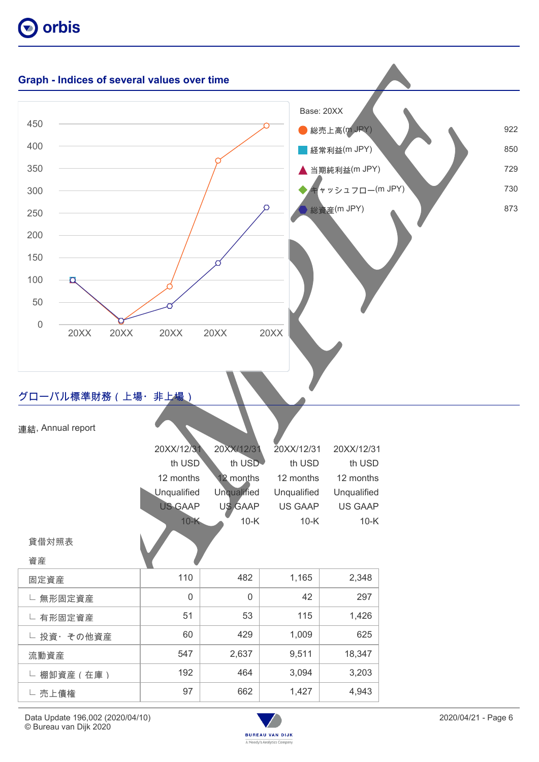



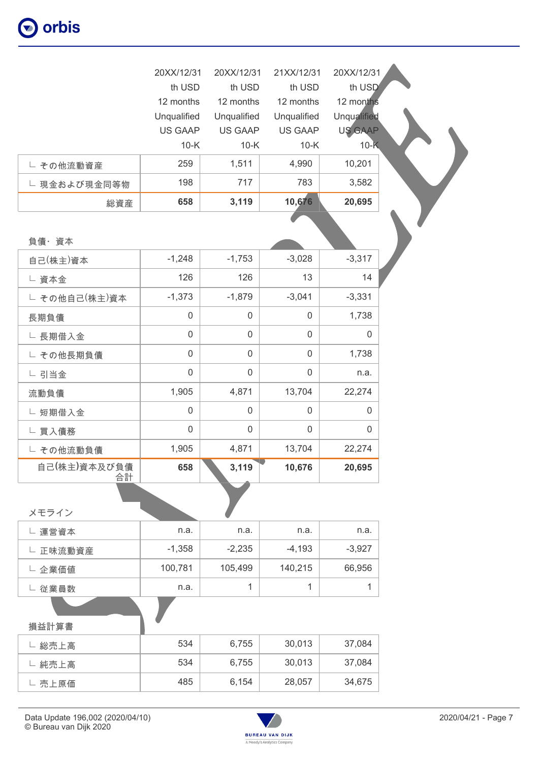|                    | 20XX/12/31     | 20XX/12/31     | 21XX/12/31          | 20XX/12/31         |
|--------------------|----------------|----------------|---------------------|--------------------|
|                    | th USD         | th USD         | th USD              | th USD             |
|                    | 12 months      | 12 months      | 12 months           | 12 months          |
|                    | Unqualified    | Unqualified    | Unqualified         | <b>Unqualified</b> |
|                    | <b>US GAAP</b> | <b>US GAAP</b> | <b>US GAAP</b>      | <b>US GAAP</b>     |
|                    | $10-K$         | $10-K$         | $10-K$              | $10-K$             |
| └ その他流動資産          | 259            | 1,511          | 4,990               | 10,201             |
| └ 現金および現金同等物       | 198            | 717            | 783                 | 3,582              |
| 総資産                | 658            | 3,119          | 10,676              | 20,695             |
|                    |                |                |                     |                    |
| 負債・資本              |                |                |                     |                    |
| 自己(株主)資本           | $-1,248$       | $-1,753$       | $-3,028$            | $-3,317$           |
| □ 資本金              | 126            | 126            | 13                  | 14                 |
| □ その他自己(株主)資本      | $-1,373$       | $-1,879$       | $-3,041$            | $-3,331$           |
| 長期負債               | $\mathbf 0$    | $\mathsf 0$    | $\mathsf 0$         | 1,738              |
| └ 長期借入金            | $\mathbf 0$    | $\mathbf 0$    | $\mathsf{O}\xspace$ | $\mathsf 0$        |
| └ その他長期負債          | $\overline{0}$ | $\overline{0}$ | $\overline{0}$      | 1,738              |
| └ 引当金              | $\overline{0}$ | $\overline{0}$ | $\overline{0}$      | n.a.               |
| 流動負債               | 1,905          | 4,871          | 13,704              | 22,274             |
| └ 短期借入金            | $\mathbf 0$    | $\mathbf 0$    | $\mathsf 0$         | 0                  |
| └ 買入債務             | $\overline{0}$ | $\overline{0}$ | $\overline{0}$      | $\Omega$           |
| └ その他流動負債          | 1,905          | 4,871          | 13,704              | 22,274             |
| 自己(株主)資本及び負債<br>合計 | 658            | 3,119          | 10,676              | 20,695             |

| メモライン    |          |          |          |          |
|----------|----------|----------|----------|----------|
| └ 運営資本   | n.a.     | n.a.     | n.a.     | n.a.     |
| └ 正味流動資産 | $-1,358$ | $-2,235$ | $-4,193$ | $-3,927$ |
| └ 企業価値   | 100,781  | 105,499  | 140,215  | 66,956   |
| 従業員数     | n.a.     |          |          |          |
|          |          |          |          |          |

| 損益計算書  | -   |       |        |        |
|--------|-----|-------|--------|--------|
| 総売上高   | 534 | 6,755 | 30,013 | 37,084 |
| 純売上高   | 534 | 6,755 | 30,013 | 37,084 |
| └ 売上原価 | 485 | 6,154 | 28,057 | 34,675 |

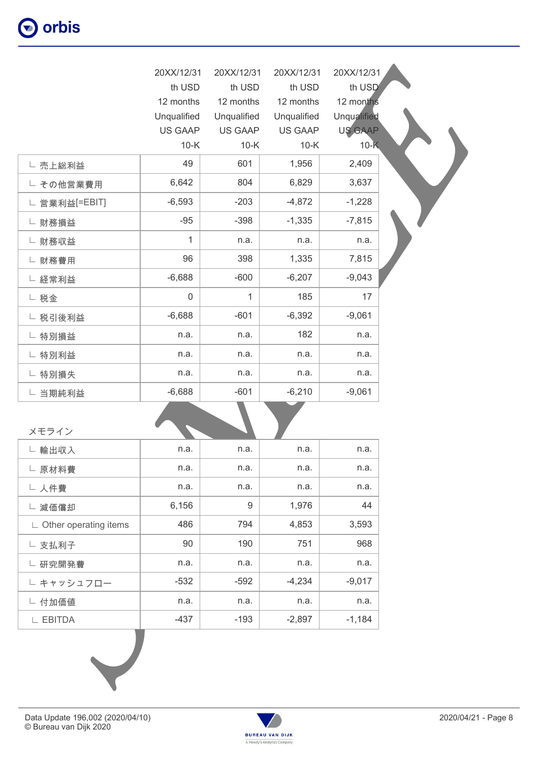|               | 20XX/12/31  | 20XX/12/31     | 20XX/12/31     | 20XX/12/31         |  |
|---------------|-------------|----------------|----------------|--------------------|--|
|               | th USD      | th USD         | th USD         | th USD             |  |
|               | 12 months   | 12 months      | 12 months      | 12 months          |  |
|               | Unqualified | Unqualified    | Unqualified    | <b>Unqualified</b> |  |
|               | US GAAP     | <b>US GAAP</b> | <b>US GAAP</b> | <b>US GAAP</b>     |  |
|               | $10-K$      | $10-K$         | $10-K$         | $10-K$             |  |
| └ 売上総利益       | 49          | 601            | 1,956          | 2,409              |  |
| └ その他営業費用     | 6,642       | 804            | 6,829          | 3,637              |  |
| └ 営業利益[=EBIT] | $-6,593$    | $-203$         | $-4,872$       | $-1,228$           |  |
| └ 財務損益        | $-95$       | $-398$         | $-1,335$       | $-7,815$           |  |
| └ 財務収益        | 1           | n.a.           | n.a.           | n.a.               |  |
| └ 財務費用        | 96          | 398            | 1,335          | 7,815              |  |
| └ 経常利益        | $-6,688$    | $-600$         | $-6,207$       | $-9,043$           |  |
| └ 税金          | $\mathbf 0$ | $\mathbf{1}$   | 185            | 17                 |  |
| └ 税引後利益       | $-6,688$    | $-601$         | $-6,392$       | $-9,061$           |  |
| └ 特別損益        | n.a.        | n.a.           | 182            | n.a.               |  |
| └ 特別利益        | n.a.        | n.a.           | n.a.           | n.a.               |  |
| └ 特別損失        | n.a.        | n.a.           | n.a.           | n.a.               |  |
| └ 当期純利益       | $-6,688$    | $-601$         | $-6,210$       | $-9,061$           |  |

| メモライン                                |        |        |          |          |
|--------------------------------------|--------|--------|----------|----------|
| 輸出収入<br>L.                           | n.a.   | n.a.   | n.a.     | n.a.     |
| └ 原材料費                               | n.a.   | n.a.   | n.a.     | n.a.     |
| └ 人件費                                | n.a.   | n.a.   | n.a.     | n.a.     |
| 減価償却<br>L.                           | 6,156  | 9      | 1,976    | 44       |
| $\mathsf{L}\,$ Other operating items | 486    | 794    | 4,853    | 3,593    |
| └ 支払利子                               | 90     | 190    | 751      | 968      |
| 研究開発費<br>L.                          | n.a.   | n.a.   | n.a.     | n.a.     |
| └ キャッシュフロー                           | $-532$ | $-592$ | $-4,234$ | $-9,017$ |
| └ 付加価値                               | n.a.   | n.a.   | n.a.     | n.a.     |
| <b>EBITDA</b>                        | -437   | $-193$ | $-2,897$ | $-1,184$ |
|                                      |        |        |          |          |



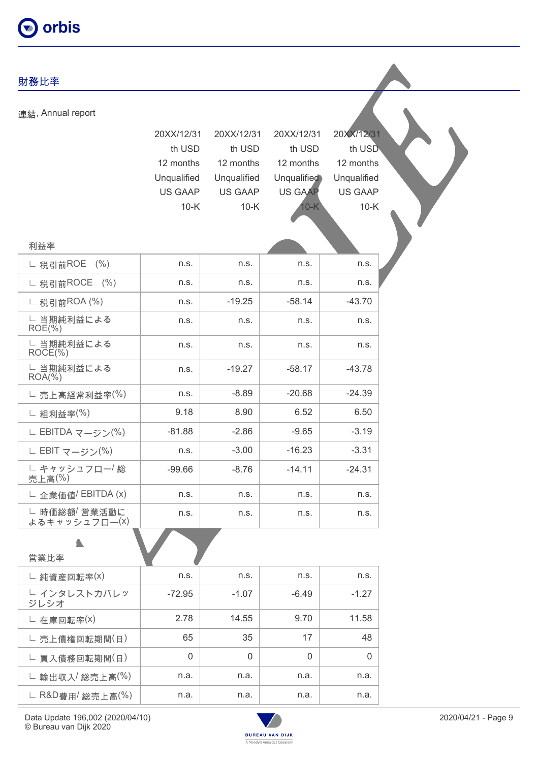## 財務比率 連結, Annual report 20XX/12/31 20XX/12/31 20XX/12/31 20XX/12/31 th USD th USD th USD th USD 12 months 12 months 12 months 12 months Unqualified Unqualified Unqualified Unqualified US GAAP US GAAP US GAAP US GAAP 10-K 10-K 10-K 10-K 利益率 ∟ 税引前ROE (%) | n.s. | n.s. | n.s. | n.s. ∟ 税引前ROCE (%) | n.s. | n.s. | n.s. | n.s. ∟ 税引前ROA (%) | n.s. | 49.25 | 58.14 | 58.14 -43.70 ∟ 当期純利益による ROE(%) n.s. | n.s. | n.s. | n.s. | ∟ 当期純利益による ROCE(%) n.s. | n.s. | n.s. | n.s. | ∟ 当期純利益による  $ROA(\% )$ n.s.  $-19.27$   $-58.17$   $-43.78$  $\Box$  売上高経常利益率(%) | n.s. | 38.89 | 20.68 | 24.39 ∟ 粗利益率(%) 9.18 8.90 6.52 6.50 ∟ EBITDA マージン(%) | -81.88 | -2.86 | -9.65 | -3.19 ∟ EBIT マージン(%) | n.s. | -3.00 | -16.23 | -3.31 ∟ キャッシュフロー/ 総 売上高(%)  $-99.66$   $-8.76$   $-14.11$   $-24.31$ ∟ 企業価値<sup>/</sup> EBITDA (x) | n.s. | n.s. | n.s. | n.s. | n.s. |

∟ 時価総額/ 営業活動に よるキャッシュフロー(x)

٠

| 営業比率                            |          |         |         |         |
|---------------------------------|----------|---------|---------|---------|
| L 純資産回転率(x)                     | n.s.     | n.s.    | n.s.    | n.s.    |
| └ インタレストカバレッ<br>ジレシオ            | $-72.95$ | $-1.07$ | $-6.49$ | $-1.27$ |
| L 在庫回転率(X)                      | 2.78     | 14.55   | 9.70    | 11.58   |
| └ 売上債権回転期間(日)                   | 65       | 35      | 17      | 48      |
| └ 買入債務回転期間(日)                   | $\Omega$ | 0       | 0       | 0       |
| $\mathsf{L}$ 輸出収入 / 総売上高 $(\%)$ | n.a.     | n.a.    | n.a.    | n.a.    |
| ∟ R&D費用/ 総売上高(%)                | n.a.     | n.a.    | n.a.    | n.a.    |



n.s. | n.s. | n.s. | n.s. |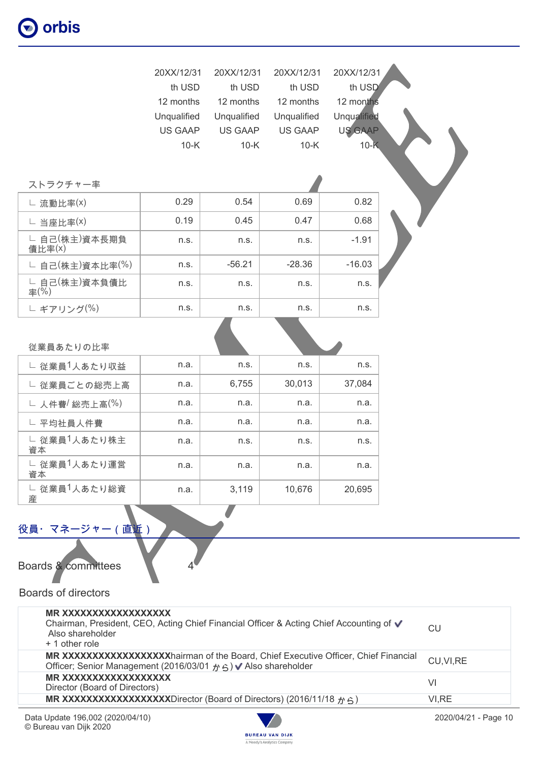|                         | 20XX/12/31  | 20XX/12/31  | 20XX/12/31     | 20XX/12/31         |  |
|-------------------------|-------------|-------------|----------------|--------------------|--|
|                         | th USD      | th USD      | th USD         | th USD             |  |
|                         | 12 months   | 12 months   | 12 months      | 12 months          |  |
|                         | Unqualified | Unqualified | Unqualified    | <b>Unqualified</b> |  |
|                         | US GAAP     | US GAAP     | <b>US GAAP</b> | US GAAP            |  |
|                         | $10-K$      | $10-K$      | $10-K$         | $10-K$             |  |
|                         |             |             |                |                    |  |
|                         |             |             |                |                    |  |
| ストラクチャー率                |             |             |                |                    |  |
| L 流動比率(x)               | 0.29        | 0.54        | 0.69           | 0.82               |  |
| L 当座比率(x)               | 0.19        | 0.45        | 0.47           | 0.68               |  |
| └ 自己(株主)資本長期負<br>債比率(X) | n.s.        | n.s.        | n.s.           | $-1.91$            |  |
| └ 自己(株主)資本比率(%)         | n.s.        | $-56.21$    | $-28.36$       | $-16.03$           |  |
| └ 自己(株主)資本負債比<br>率(%)   | n.s.        | n.s.        | n.s.           | n.s.               |  |
| └ ギアリング(%)              | n.s.        | n.s.        | n.s.           | n.s.               |  |
|                         |             |             |                |                    |  |
| 従業員あたりの比率               |             |             |                |                    |  |
| □ 従業員1人あたり収益            | n.a.        | n.s.        | n.s.           | n.s.               |  |
| └ 従業員ごとの総売上高            | n.a.        | 6,755       | 30,013         | 37,084             |  |
| └ 人件費/総売上高(%)           | n.a.        | n.a.        | n.a.           | n.a.               |  |
| └ 平均社員人件費               | n.a.        | n.a.        | n.a.           | n.a.               |  |
| □ 従業員1人あたり株主<br>資本      | n.a.        | n.s.        | n.s.           | n.s.               |  |
| └ 従業員1人あたり運営<br>資本      | n.a.        | n.a.        | n.a.           | n.a.               |  |
| └ 従業員1人あたり総資            | n.a.        | 3,119       | 10,676         | 20,695             |  |

### 役員・マネージャー (直近)

Boards & committees 44

### Boards of directors

産

| MR XXXXXXXXXXXXXXXXX<br>Chairman, President, CEO, Acting Chief Financial Officer & Acting Chief Accounting of √<br>Also shareholder<br>+ 1 other role   | CU         |
|---------------------------------------------------------------------------------------------------------------------------------------------------------|------------|
| MR XXXXXXXXXXXXXXXXXhairman of the Board, Chief Executive Officer, Chief Financial<br>Officer; Senior Management (2016/03/01 $\#$ 6) V Also shareholder | CU, VI, RE |
| MR XXXXXXXXXXXXXXXXXX<br>Director (Board of Directors)                                                                                                  | VI         |
| MR XXXXXXXXXXXXXXXXXDirector (Board of Directors) (2016/11/18 $\gamma$ $\leq$ )                                                                         | VI.RE      |

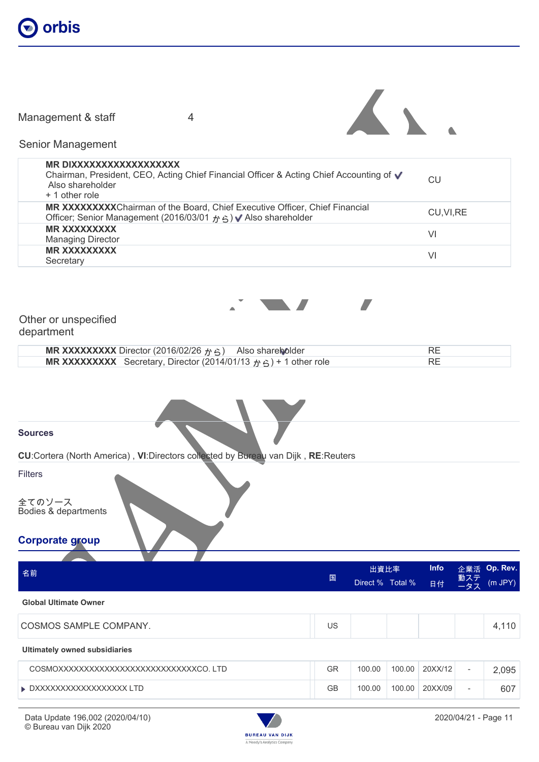

Management & staff 4



Senior Management

| MR DIXXXXXXXXXXXXXXXXX<br>Chairman, President, CEO, Acting Chief Financial Officer & Acting Chief Accounting of ▼<br>Also shareholder<br>$+1$ other role          | CU         |
|-------------------------------------------------------------------------------------------------------------------------------------------------------------------|------------|
| <b>MR XXXXXXXXXChairman of the Board, Chief Executive Officer, Chief Financial</b><br>Officer; Senior Management (2016/03/01 $\land$ $\land$ ) V Also shareholder | CU, VI, RE |
| <b>MR XXXXXXXXX</b><br><b>Managing Director</b>                                                                                                                   | VI         |
| <b>MR XXXXXXXXX</b><br>Secretary                                                                                                                                  | VI         |
|                                                                                                                                                                   |            |



Other or unspecified department

| <b>MR XXXXXXXXX</b> Director (2016/02/26 $\gamma$ $\beta$ ) Also shareholder           |  |
|----------------------------------------------------------------------------------------|--|
| <b>MR XXXXXXXX</b> Secretary, Director (2014/01/13 $p \in \mathbb{R}$ ) + 1 other role |  |

**Sources**

**CU**:Cortera (North America) , **VI**:Directors collected by Bureau van Dijk , **RE**:Reuters

Filters

全てのソース Bodies & departments

**Corporate group**

| 名前                                      | 国         | 出資比率<br>Direct % Total % |        | <b>Info</b><br>日付 | 企業活<br>動ステ<br>ータス        | Op. Rev.<br>$(m$ JPY $)$ |
|-----------------------------------------|-----------|--------------------------|--------|-------------------|--------------------------|--------------------------|
| <b>Global Ultimate Owner</b>            |           |                          |        |                   |                          |                          |
| COSMOS SAMPLE COMPANY.                  | US        |                          |        |                   |                          | 4,110                    |
| <b>Ultimately owned subsidiaries</b>    |           |                          |        |                   |                          |                          |
| COSMOXXXXXXXXXXXXXXXXXXXXXXXXXXXCO. LTD | GR        | 100.00                   | 100.00 | 20XX/12           | $\overline{\phantom{a}}$ | 2,095                    |
| ▶ DXXXXXXXXXXXXXXXXXX LTD               | <b>GB</b> | 100.00                   | 100.00 | 20XX/09           | $\overline{\phantom{a}}$ | 607                      |

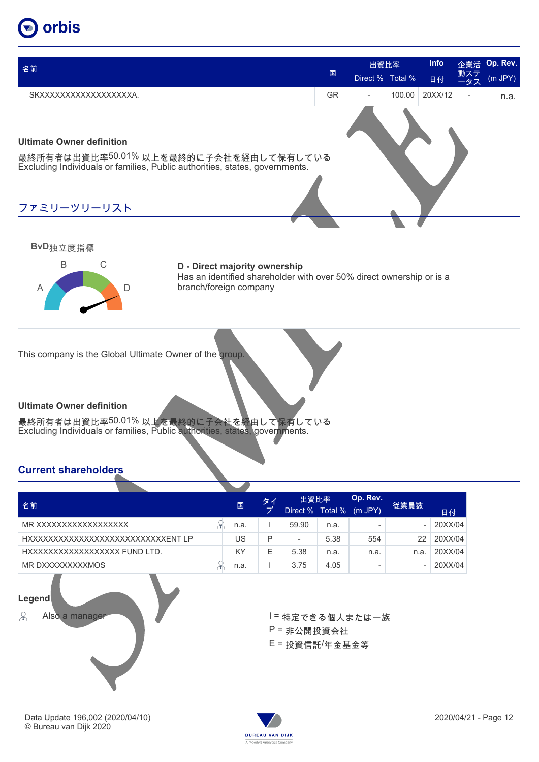| 名前                                                                                                                                                       | 国         | 出資比率<br>Direct % Total % |        | <b>Info</b><br>日付 | 企業活<br>動ステ<br>ータス        | Op. Rev.<br>$(m$ JPY $)$ |
|----------------------------------------------------------------------------------------------------------------------------------------------------------|-----------|--------------------------|--------|-------------------|--------------------------|--------------------------|
| SKXXXXXXXXXXXXXXXXXA.                                                                                                                                    | <b>GR</b> | $\overline{\phantom{a}}$ | 100.00 | 20XX/12           | $\overline{\phantom{m}}$ | n.a.                     |
| <b>Ultimate Owner definition</b><br>最終所有者は出資比率50.01%以上を最終的に子会社を経由して保有している<br>Excluding Individuals or families, Public authorities, states, governments. |           |                          |        |                   |                          |                          |
| ファミリーツリーリスト                                                                                                                                              |           |                          |        |                   |                          |                          |
| BvD独立度指標                                                                                                                                                 |           |                          |        |                   |                          |                          |



**D - Direct majority ownership** Has an identified shareholder with over 50% direct ownership or is a branch/foreign company

This company is the Global Ultimate Owner of the group.

### **Ultimate Owner definition**

最終所有者は出資比率50.01% 以上を最終的に子会社を経由して保有している Excluding Individuals or families, Public authorities, states, governments.

### **Current shareholders**

|                                     |  |      | タイ | 出資比率                     |         | Op. Rev.     |      |         |
|-------------------------------------|--|------|----|--------------------------|---------|--------------|------|---------|
| 名前                                  |  | 国    | ブ  | Direct %                 | Total % | $(m$ JPY $)$ | 従業員数 | 日付      |
| MR XXXXXXXXXXXXXXXXX                |  | n.a. |    | 59.90                    | n.a.    |              | ۰    | 20XX/04 |
| HXXXXXXXXXXXXXXXXXXXXXXXXXXXXENT LP |  | US   | Р  | $\overline{\phantom{a}}$ | 5.38    | 554          | 22   | 20XX/04 |
| HXXXXXXXXXXXXXXXXXX FUND LTD.       |  | KY   | Е  | 5.38                     | n.a.    | n.a.         | n.a  | 20XX/04 |
| MR DXXXXXXXXXMOS                    |  | n.a. |    | 3.75                     | 4.05    | -            | -    | 20XX/04 |



P = 非公開投資会社 E = 投資信託/年金基金等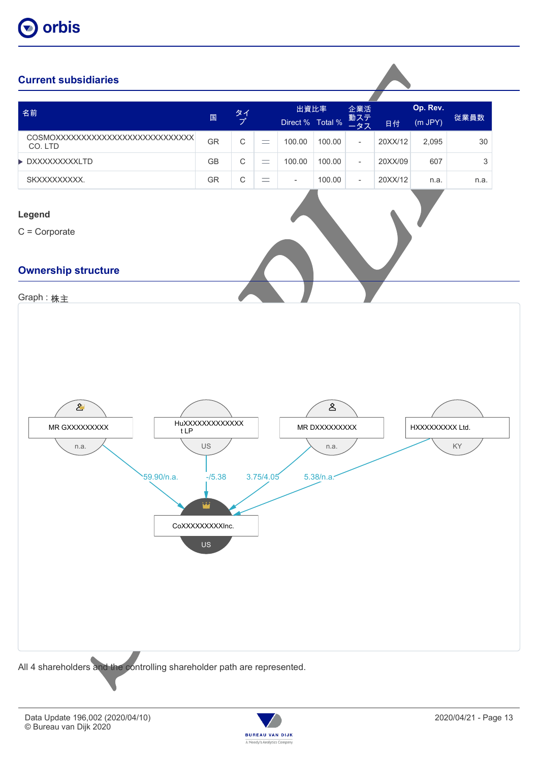

### **Current subsidiaries**

| 名前                                                                       |                                                                                          | タイプ         |           | 出資比率                     |                                                    | 企業活                      |         | Op. Rev.       |                           |
|--------------------------------------------------------------------------|------------------------------------------------------------------------------------------|-------------|-----------|--------------------------|----------------------------------------------------|--------------------------|---------|----------------|---------------------------|
|                                                                          | $\boxplus$                                                                               |             |           | Direct % Total %         |                                                    | 動ステ<br>ータス               | 日付      | $(m$ JPY $)$   | 従業員数                      |
| COSMOXXXXXXXXXXXXXXXXXXXXXXXXXXX<br>CO. LTD                              | GR                                                                                       | $\mathsf C$ | $\equiv$  | 100.00                   | 100.00                                             | $\overline{\phantom{a}}$ | 20XX/12 | 2,095          | $30\,$                    |
| DXXXXXXXXXLTD                                                            | $\mathsf{GB}$                                                                            | $\mathsf C$ | $\equiv$  | 100.00                   | 100.00                                             | $\overline{\phantom{a}}$ | 20XX/09 | 607            | $\ensuremath{\mathsf{3}}$ |
| SKXXXXXXXX.                                                              | GR                                                                                       | $\mathsf C$ | $\equiv$  | $\overline{\phantom{a}}$ | 100.00                                             | $\overline{\phantom{a}}$ | 20XX/12 | n.a.           | n.a.                      |
| Legend<br>$C =$ Corporate                                                |                                                                                          |             |           |                          |                                                    |                          |         |                |                           |
| <b>Ownership structure</b>                                               |                                                                                          |             |           |                          |                                                    |                          |         |                |                           |
|                                                                          |                                                                                          |             |           |                          |                                                    |                          |         |                |                           |
| Graph: 株主                                                                |                                                                                          |             |           |                          |                                                    |                          |         |                |                           |
| $\mathbf{2}^{\prime}$<br>MR GXXXXXXXXX<br>tLP<br>n.a.<br>59.90/n.a.      | HuXXXXXXXXXXXX<br>US<br>$-15.38$<br>أمقا<br>CoXXXXXXXXInc.<br>$\ensuremath{\mathsf{US}}$ |             | 3.75/4.05 |                          | $\mathbb{S}$<br>MR DXXXXXXXXX<br>n.a.<br>5.38/n.a. |                          |         | HXXXXXXXX Ltd. | $\mathsf{KY}$             |
| All 4 shareholders and the controlling shareholder path are represented. |                                                                                          |             |           |                          |                                                    |                          |         |                |                           |